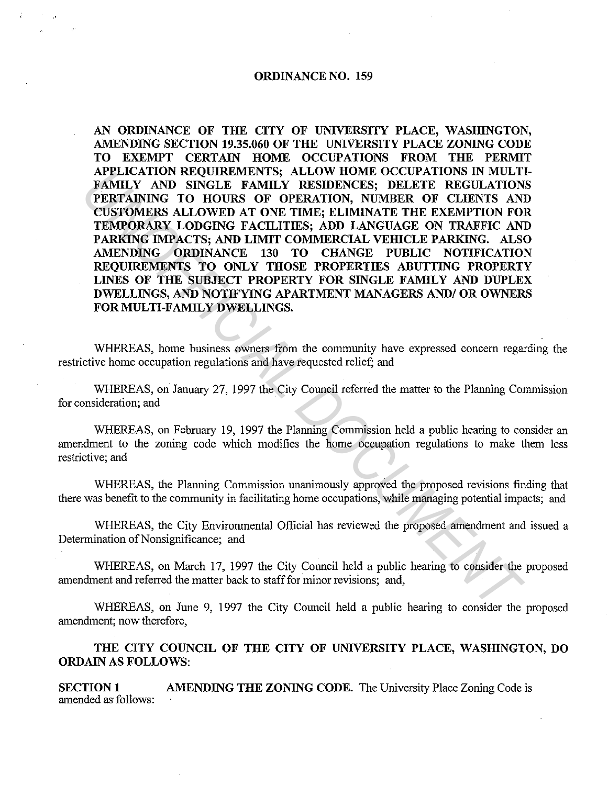## **ORDINANCE NO. 159**

**AN ORDINANCE OF THE CITY OF UNIVERSITY PLACE, WASHINGTON, AMENDING SECTION 19.35.060 OF THE UNIVERSITY PLACE ZONING CODE TO EXEMPT CERTAIN HOME OCCUPATIONS FROM THE PERMIT APPLICATION REQUIREMENTS; ALLOW HOME OCCUPATIONS IN MULTI-FAMILY AND SINGLE FAMILY RESIDENCES; DELETE REGULATIONS PERTAINING TO HOURS OF OPERATION, NUMBER OF CLIENTS AND CUSTOMERS ALLOWED AT ONE TIME; ELIMINATE THE EXEMPTION FOR TEMPORARY LODGING FACILITIES; ADD LANGUAGE ON TRAFFIC AND**  PARKING IMPACTS; AND LIMIT COMMERCIAL VEHICLE PARKING. ALSO **AMENDING ORDINANCE 130 TO CHANGE PUBLIC NOTIFICATION REQUIREMENTS TO ONLY THOSE PROPERTIES ABUTTING PROPERTY LINES OF THE SUBJECT PROPERTY FOR SINGLE FAMILY AND DUPLEX DWELLINGS, AND NOTIFYING APARTMENT MANAGERS AND/ OR OWNERS**  FOR MULTI-FAMILY DWELLINGS. **APPLICATION REQUIREMENTS:** ALLOW HOME OCCUPATIONS IN MULTIMETING THE REGULATION REQUIRED PRETAINING TO HOURS OF OPERATION, NUMBER OF CLENTS AND LUNES AT ONE THANK THE EXEMPTION FOR CURRICATION PANIGRAPY LODGING FACILITIES

WHEREAS, home business owners from the community have expressed concern regarding the restrictive home occupation regulations and have requested relief; and

WHEREAS, on January 27, 1997 the City Council referred the matter to the Planning Commission for consideration; and

WHEREAS, on February 19, 1997 the Planning Commission held a public hearing to consider an amendment to the zoning code which modifies the home occupation regulations to make them less restrictive; and

WHEREAS, the Planning Commission unanimously approved the proposed revisions finding that there was benefit to the community in facilitating home occupations, while managing potential impacts; and

WHEREAS, the City Environmental Official has reviewed the proposed amendment and issued a Determination of Nonsignificance; and

WHEREAS, on March 17, 1997 the City Council held a public hearing to consider the proposed amendment and referred the matter back to staff for minor revisions; and,

WHEREAS, on June 9, 1997 the City Council held a public hearing to consider the proposed amendment; now therefore,

**THE CITY COUNCIL OF THE CITY OF UNIVERSITY PLACE, WASHINGTON, DO ORDAIN AS FOLLOWS:** 

**SECTION 1** AMENDING THE ZONING CODE. The University Place Zoning Code is amended as· follows: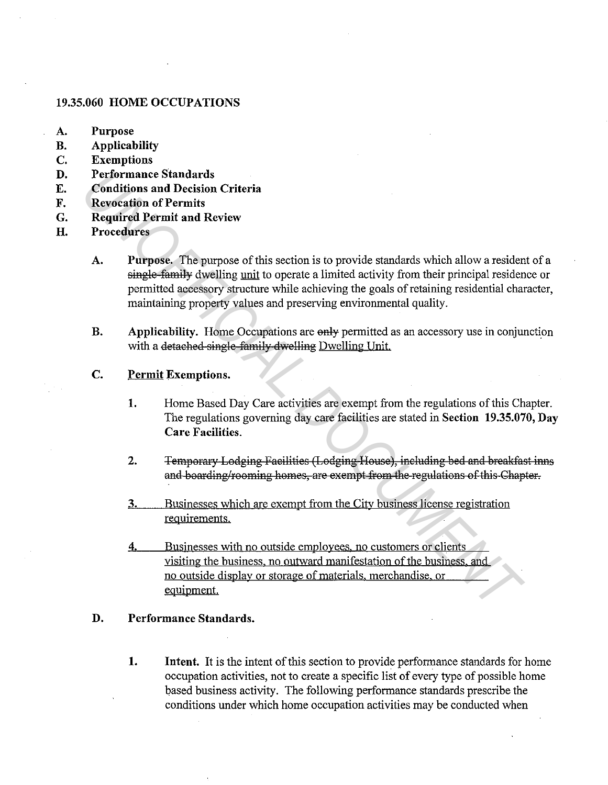## **19.35.060 HOME OCCUPATIONS**

- **A. Purpose**
- **B. Applicability**
- **C. Exemptions**
- **D. Performance Standards**
- **E. Conditions and Decision Criteria**
- **F. Revocation of Permits**
- **G. Required Permit and Review**
- **H. Procedures**
- **A. Purpose.** The purpose of this section is to provide standards which allow a resident of a single family dwelling unit to operate a limited activity from their principal residence or permitted accessory structure while achieving the goals ofretaining residential character, maintaining property values and preserving environmental quality. **Performance Standards**<br> **Conditions and Decision Criteria**<br> **Conditions and Decision Criteria**<br> **Required Permit and Review**<br> **A.** Purpose, The purpose of this section is to provide standards which allow a residem<br>
permi
	- **B.** Applicability. Home Occupations are only permitted as an accessory use in conjunction with a detached single family dwelling Dwelling Unit.
	- **C. Permit Exemptions.** 
		- **1.** Home Based Day Care activities are exempt from the regulations of this Chapter. The regulations governing day care facilities are stated in **Section 19.35.070, Day Care Facilities.**
		- 2. **Temporary Lodging Facilities (Lodging House), including bed and breakfast inns** and boarding/rooming homes, are exempt from the regulations of this Chapter.
		- **3.** Businesses which are exempt from the City business license registration requirements.
		- **4.** Businesses with no outside employees. no customers or clients visiting the business. no outward manifestation of the business. and no outside display or storage of materials. merchandise. or equipment.

## **D. Performance Standards.**

**1. Intent.** It is the intent of this section to provide performance standards for home occupation activities, not to create a specific list of every type of possible home based business activity. The following performance standards prescribe the conditions under which home occupation activities may be conducted when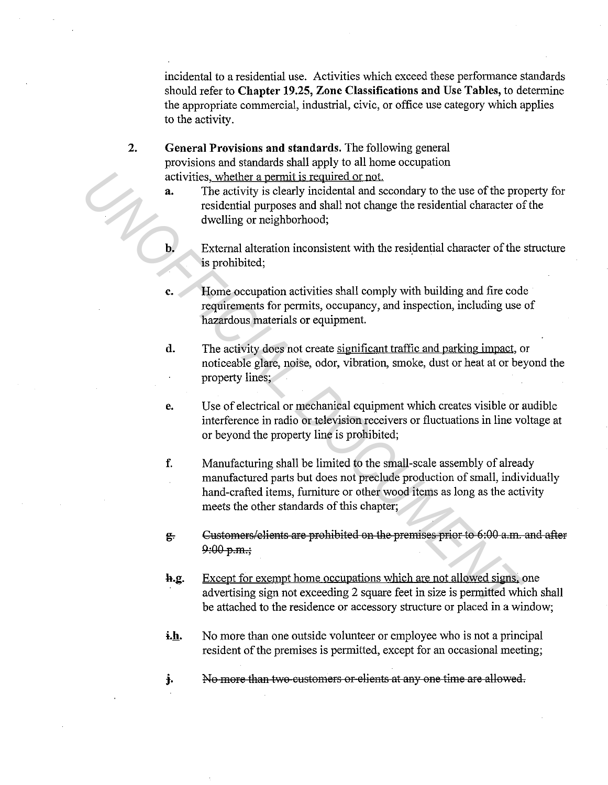incidental to a residential use. Activities which exceed these performance standards should refer to **Chapter 19.25, Zone Classifications and** Use **Tables,** to determine the appropriate commercial, industrial, civic, or office use category which applies to the activity.

**2. General Provisions and standards.** The following general provisions and standards shall apply to all home occupation activities, whether a permit is required or not

- a. The activity is clearly incidental and secondary to the use of the property for residential purposes and shall not change the residential character of the dwelling or neighborhood;
- **b.** External alteration inconsistent with the residential character of the structure is prohibited;
- **c.** Home occupation activities shall comply with building and fire code requirements for permits, occupancy, and inspection, including use of hazardous materials or equipment.
- **d.** The activity does not create significant traffic and parking impact, or noticeable glare, noise, odor, vibration, smoke, dust or heat at or beyond the property lines;
- **e.** Use of electrical or mechanical equipment which creates visible or audible interference in radio or television receivers or fluctuations in line voltage at or beyond the property line is prohibited;
- **f.** Manufacturing shall be limited to the small-scale assembly of already manufactured parts but does not preclude production of small, individually hand-crafted items, furniture or other wood items as long as the activity meets the other standards of this chapter; activities, whether a permit is required or not.<br> **The activity is clearly incidental and secondary to the use of the propresidential purposes and shall not change the residential character of dwelling or neighborhood;<br>
Ex** 
	- $g<sub>r</sub>$  Customers/elients are prohibited on the premises prior to 6:00 a.m. and after  $9:00 p.m.$ ;
	- **h.g.** Except for exempt home occupations which are not allowed signs, one advertising sign not exceeding 2 square feet in size is permitted which shall be attached to the residence or accessory structure or placed in a window;
	- **i.h.** No more than one outside volunteer or employee who is not a principal resident of the premises is permitted, except for an occasional meeting;
	- **j.** No more than two customers or elients at any one time are allowed.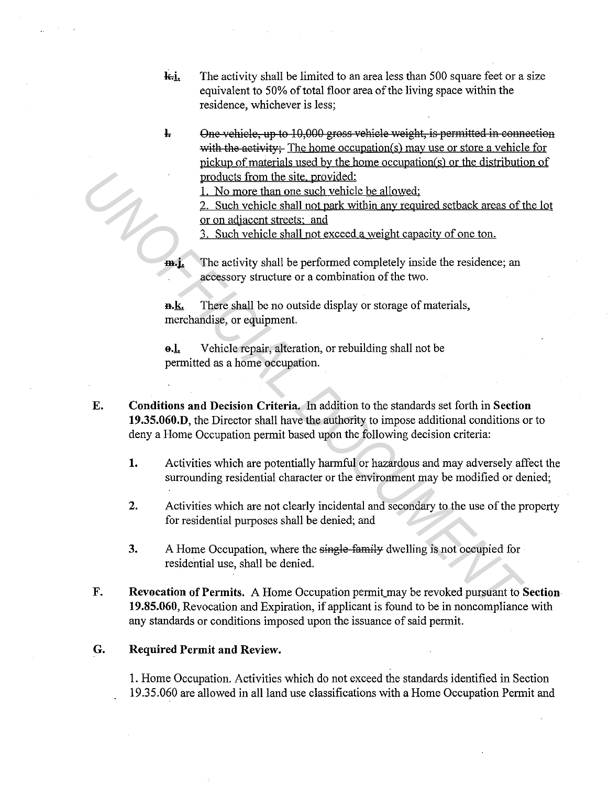- **k.i.** The activity shall be limited to an area less than 500 square feet or a size equivalent to 50% of total floor area of the living space within the residence, whichever is less;
- $\frac{1}{2}$  One vehicle, up to 10,000 gross vehicle weight, is permitted in connection with the activity: The home occupation(s) may use or store a vehicle for pickup of materials used by the home occupation(s) or the distribution of products from the site. provided:

1. No more than one such vehicle be allowed:

2. Such vehicle shall not park within any required setback areas of the lot or on adjacent streets: and

3. Such vehicle shall not exceed a weight capacity of one ton.

**m.j.** The activity shall be performed completely inside the residence; an accessory structure or a combination of the two.

**n.k.** There shall be no outside display or storage of materials, merchandise, or equipment.

**a.1.** Vehicle repair, alteration, or rebuilding shall not be permitted as a home occupation.

- **E. Conditions and Decision Criteria.** In addition to the standards set forth in **Section 19.35.060.D,** the Director shall have the authority to impose additional conditions or to deny a Home Occupation permit based upon the following decision criteria: **Example the simple of the simple detection of the simple detection of the simple detection of the simple computer of the simple computer of the simple computer and the simple state of the simple of the simple state and th** 
	- **1.** Activities which are potentially harmful or hazardous and may adversely affect the surrounding residential character or the environment may be modified or denied;
	- 2. Activities which are not clearly incidental and secondary to the use of the property for residential purposes shall be denied; and
	- 3. A Home Occupation, where the single-family dwelling is not occupied for residential use, shall be denied.
	- **F. Revocation of Permits.** A Home Occupation permit\_may be revoked pursuant to **Section 19.85.060,** Revocation and Expiration, if applicant is found to be in noncompliance with any standards or conditions imposed upon the issuance of said permit.

## **G. Required Permit and Review.**

I. Home Occupation. Activities which do not exceed the standards identified in Section 19.35.060 are allowed in all land use classifications with a Home Occupation Permit and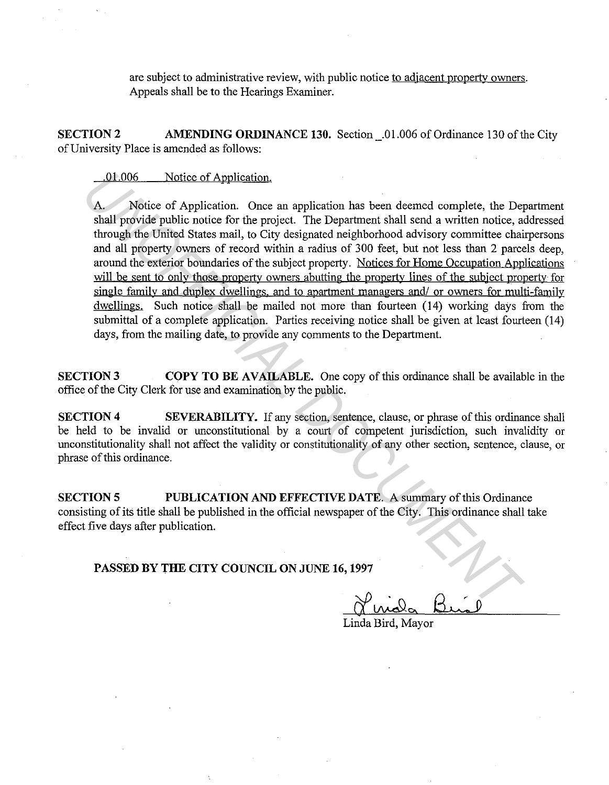are subject to administrative review, with public notice to adjacent property owners. Appeals shall be to the Hearings Examiner.

**SECTION2 AMENDING ORDINANCE 130.** Section\_.01.006 of Ordinance 130 of the City of University Place is amended as follows:

.01.006 Notice of Application.

Notice of Application. Once an application has been deemed complete, the Department shall provide public notice for the project. The Department shall send a written notice, addressed through the United States mail, to City designated neighborhood advisory committee chairpersons and all property owners of record within a radius of 300 feet, but not less than 2 parcels deep, around the exterior boundaries of the subject property. Notices for Home Occupation Applications will be sent to only those property owners abutting the property lines of the subject property for single family and duplex dwellings, and to apartment managers and/ or owners for multi-family dwellings. Such notice shall be mailed not more than fourteen (14) working days from the submittal of a complete application. Parties receiving notice shall be given at least fourteen (14) days, from the mailing date, to provide any comments to the Department. 10.006 Notice of Application.<br>
A. Notice of Application.<br>
A. Notice of Application. Once an application also tend a complete, the Department shall provide politic notice, as thritten police. The Department shall send a wr

**SECTION 3 COPY TO BE AVAILABLE.** One copy of this ordinance shall be available in the office of the City Clerk for use and examination by the public.

**SECTION 4** SEVERABILITY. If any section, sentence, clause, or phrase of this ordinance shall be held to be invalid or unconstitutional by a court of competent jurisdiction, such invalidity or unconstitutionality shall not affect the validity or constitutionality of any other section, sentence, clause, or phrase of this ordinance.

**SECTION 5 PUBLICATION AND EFFECTIVE DATE.** A summary of this Ordinance consisting of its title shall be published in the official newspaper of the City. This ordinance shall take effect five days after publication.

**PASSED BY THE CITY COUNCIL ON JUNE 16, 1997** 

Linda Bird, Mayor